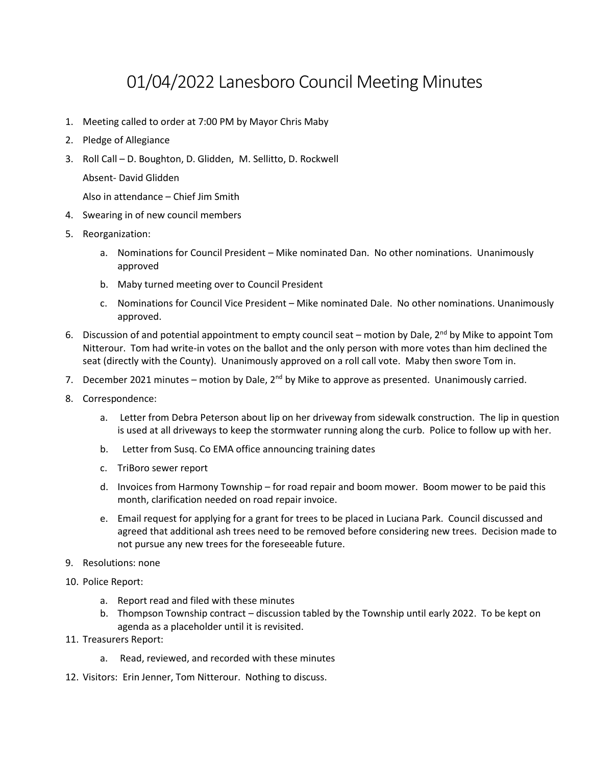## 01/04/2022 Lanesboro Council Meeting Minutes

- 1. Meeting called to order at 7:00 PM by Mayor Chris Maby
- 2. Pledge of Allegiance
- 3. Roll Call D. Boughton, D. Glidden, M. Sellitto, D. Rockwell

Absent- David Glidden

Also in attendance – Chief Jim Smith

- 4. Swearing in of new council members
- 5. Reorganization:
	- a. Nominations for Council President Mike nominated Dan. No other nominations. Unanimously approved
	- b. Maby turned meeting over to Council President
	- c. Nominations for Council Vice President Mike nominated Dale. No other nominations. Unanimously approved.
- 6. Discussion of and potential appointment to empty council seat motion by Dale,  $2^{nd}$  by Mike to appoint Tom Nitterour. Tom had write-in votes on the ballot and the only person with more votes than him declined the seat (directly with the County). Unanimously approved on a roll call vote. Maby then swore Tom in.
- 7. December 2021 minutes motion by Dale,  $2^{nd}$  by Mike to approve as presented. Unanimously carried.
- 8. Correspondence:
	- a. Letter from Debra Peterson about lip on her driveway from sidewalk construction. The lip in question is used at all driveways to keep the stormwater running along the curb. Police to follow up with her.
	- b. Letter from Susq. Co EMA office announcing training dates
	- c. TriBoro sewer report
	- d. Invoices from Harmony Township for road repair and boom mower. Boom mower to be paid this month, clarification needed on road repair invoice.
	- e. Email request for applying for a grant for trees to be placed in Luciana Park. Council discussed and agreed that additional ash trees need to be removed before considering new trees. Decision made to not pursue any new trees for the foreseeable future.
- 9. Resolutions: none
- 10. Police Report:
	- a. Report read and filed with these minutes
	- b. Thompson Township contract discussion tabled by the Township until early 2022. To be kept on agenda as a placeholder until it is revisited.
- 11. Treasurers Report:
	- a. Read, reviewed, and recorded with these minutes
- 12. Visitors: Erin Jenner, Tom Nitterour. Nothing to discuss.